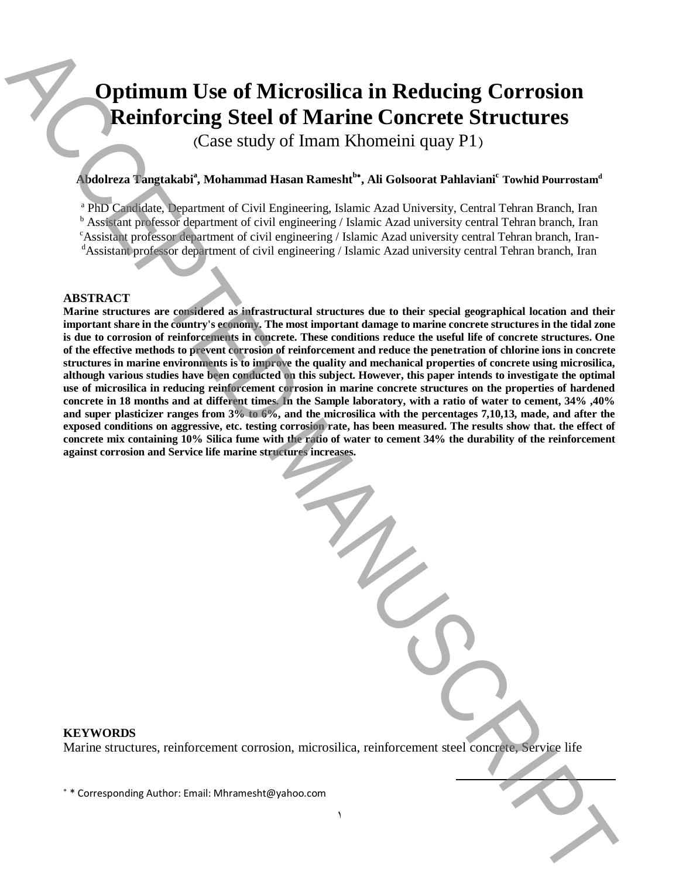# **Optimum Use of Microsilica in Reducing Corrosion Reinforcing Steel of Marine Concrete Structures**

(Case study of Imam Khomeini quay P1)

## **Abdolreza Tangtakabi<sup>a</sup> , Mohammad Hasan Ramesht<sup>b</sup> , Ali Golsoorat Pahlaviani<sup>c</sup> Towhid Pourrostam<sup>d</sup>**

<sup>a</sup> PhD Candidate, Department of Civil Engineering, Islamic Azad University, Central Tehran Branch, Iran

<sup>b</sup> Assistant professor department of civil engineering / Islamic Azad university central Tehran branch, Iran

<sup>c</sup>Assistant professor department of civil engineering / Islamic Azad university central Tehran branch, Iran-

<sup>d</sup>Assistant professor department of civil engineering / Islamic Azad university central Tehran branch, Iran

#### **ABSTRACT**

**Marine structures are considered as infrastructural structures due to their special geographical location and their important share in the country's economy. The most important damage to marine concrete structures in the tidal zone is due to corrosion of reinforcements in concrete. These conditions reduce the useful life of concrete structures. One of the effective methods to prevent corrosion of reinforcement and reduce the penetration of chlorine ions in concrete structures in marine environments is to improve the quality and mechanical properties of concrete using microsilica, although various studies have been conducted on this subject. However, this paper intends to investigate the optimal use of microsilica in reducing reinforcement corrosion in marine concrete structures on the properties of hardened concrete in 18 months and at different times. In the Sample laboratory, with a ratio of water to cement, 34% ,40% and super plasticizer ranges from 3% to 6%, and the microsilica with the percentages 7,10,13, made, and after the exposed conditions on aggressive, etc. testing corrosion rate, has been measured. The results show that. the effect of concrete mix containing 10% Silica fume with the ratio of water to cement 34% the durability of the reinforcement against corrosion and Service life marine structures increases. Example 10 Corresponding Author: A corresponding Corresponding Corresponding Corresponding Corresponding Author: Corresponding Authorities (Authorities (Authorities (Authorities (Authorities (Authorities (Authorities (** 

## **KEYWORDS**

Marine structures, reinforcement corrosion, microsilica, reinforcement steel concrete, Service life

 $\overline{a}$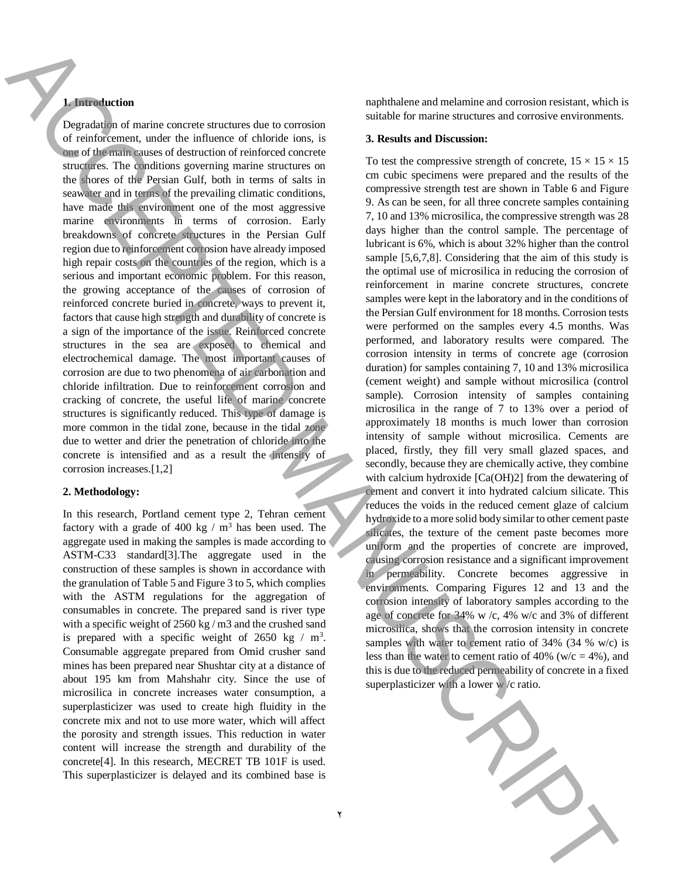## **1. Introduction**

Degradation of marine concrete structures due to corrosion of reinforcement, under the influence of chloride ions, is one of the main causes of destruction of reinforced concrete structures. The conditions governing marine structures on the shores of the Persian Gulf, both in terms of salts in seawater and in terms of the prevailing climatic conditions, have made this environment one of the most aggressive marine environments in terms of corrosion. Early breakdowns of concrete structures in the Persian Gulf region due to reinforcement corrosion have already imposed high repair costs on the countries of the region, which is a serious and important economic problem. For this reason, the growing acceptance of the causes of corrosion of reinforced concrete buried in concrete, ways to prevent it, factors that cause high strength and durability of concrete is a sign of the importance of the issue. Reinforced concrete structures in the sea are exposed to chemical and electrochemical damage. The most important causes of corrosion are due to two phenomena of air carbonation and chloride infiltration. Due to reinforcement corrosion and cracking of concrete, the useful life of marine concrete structures is significantly reduced. This type of damage is more common in the tidal zone, because in the tidal zone due to wetter and drier the penetration of chloride into the concrete is intensified and as a result the intensity of corrosion increases.[1,2]

#### **2. Methodology:**

In this research, Portland cement type 2, Tehran cement factory with a grade of 400 kg  $/$  m<sup>3</sup> has been used. The aggregate used in making the samples is made according to ASTM-C33 standard[3].The aggregate used in the construction of these samples is shown in accordance with the granulation of Table 5 and Figure 3 to 5, which complies with the ASTM regulations for the aggregation of consumables in concrete. The prepared sand is river type with a specific weight of 2560 kg / m3 and the crushed sand is prepared with a specific weight of  $2650 \text{ kg} / \text{m}^3$ . Consumable aggregate prepared from Omid crusher sand mines has been prepared near Shushtar city at a distance of about 195 km from Mahshahr city. Since the use of microsilica in concrete increases water consumption, a superplasticizer was used to create high fluidity in the concrete mix and not to use more water, which will affect the porosity and strength issues. This reduction in water content will increase the strength and durability of the concrete[4]. In this research, MECRET TB 101F is used. This superplasticizer is delayed and its combined base is

naphthalene and melamine and corrosion resistant, which is suitable for marine structures and corrosive environments.

#### **3. Results and Discussion:**

To test the compressive strength of concrete,  $15 \times 15 \times 15$ cm cubic specimens were prepared and the results of the compressive strength test are shown in Table 6 and Figure 9. As can be seen, for all three concrete samples containing 7, 10 and 13% microsilica, the compressive strength was 28 days higher than the control sample. The percentage of lubricant is 6%, which is about 32% higher than the control sample [5,6,7,8]. Considering that the aim of this study is the optimal use of microsilica in reducing the corrosion of reinforcement in marine concrete structures, concrete samples were kept in the laboratory and in the conditions of the Persian Gulf environment for 18 months. Corrosion tests were performed on the samples every 4.5 months. Was performed, and laboratory results were compared. The corrosion intensity in terms of concrete age (corrosion duration) for samples containing 7, 10 and 13% microsilica (cement weight) and sample without microsilica (control sample). Corrosion intensity of samples containing microsilica in the range of 7 to 13% over a period of approximately 18 months is much lower than corrosion intensity of sample without microsilica. Cements are placed, firstly, they fill very small glazed spaces, and secondly, because they are chemically active, they combine with calcium hydroxide [Ca(OH)2] from the dewatering of cement and convert it into hydrated calcium silicate. This reduces the voids in the reduced cement glaze of calcium hydroxide to a more solid body similar to other cement paste silicates, the texture of the cement paste becomes more uniform and the properties of concrete are improved, causing corrosion resistance and a significant improvement in permeability. Concrete becomes aggressive in environments. Comparing Figures 12 and 13 and the corrosion intensity of laboratory samples according to the age of concrete for 34% w /c, 4% w/c and 3% of different microsilica, shows that the corrosion intensity in concrete samples with water to cement ratio of 34% (34 % w/c) is less than the water to cement ratio of 40% ( $w/c = 4$ %), and this is due to the reduced permeability of concrete in a fixed **Example 2.** The subset of the subset of the subset of the subset of the subset of the subset of the subset of the subset of the subset of the subset of the subset of the subset of the subset of the subset of the subset o